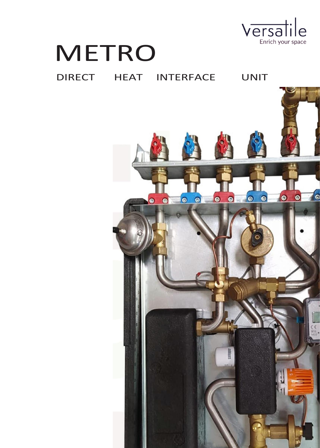

# METRO

## DIRECT HEAT INTERFACE UNIT

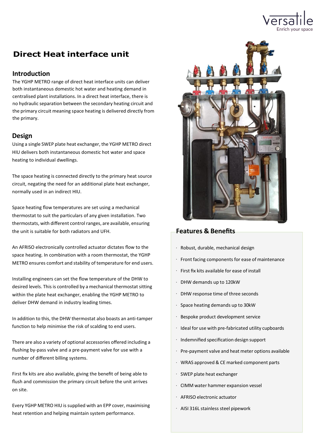

### **Direct Heat interface unit**

#### **Introduction**

The YGHP METRO range of direct heat interface units can deliver both instantaneous domestic hot water and heating demand in centralised plant installations. In a direct heat interface, there is no hydraulic separation between the secondary heating circuit and the primary circuit meaning space heating is delivered directly from the primary.

#### **Design**

Using a single SWEP plate heat exchanger, the YGHP METRO direct HIU delivers both instantaneous domestic hot water and space heating to individual dwellings.

The space heating is connected directly to the primary heat source circuit, negating the need for an additional plate heat exchanger, normally used in an indirect HIU.

Space heating flow temperatures are set using a mechanical thermostat to suit the particulars of any given installation. Two thermostats, with different control ranges, are available, ensuring the unit is suitable for both radiators and UFH.

An AFRISO electronically controlled actuator dictates flow to the space heating. In combination with a room thermostat, the YGHP METRO ensures comfort and stability of temperature for end users.

Installing engineers can set the flow temperature of the DHW to desired levels. This is controlled by a mechanical thermostat sitting within the plate heat exchanger, enabling the YGHP METRO to deliver DHW demand in industry leading times.

In addition to this, the DHW thermostat also boasts an anti-tamper function to help minimise the risk of scalding to end users.

There are also a variety of optional accessories offered including a flushing by-pass valve and a pre-payment valve for use with a number of different billing systems.

First fix kits are also available, giving the benefit of being able to flush and commission the primary circuit before the unit arrives on site.

Every YGHP METRO HIU is supplied with an EPP cover, maximising heat retention and helping maintain system performance.



#### **Features & Benefits**

- Robust, durable, mechanical design
- Front facing components for ease of maintenance
- First fix kits available for ease of install
- DHW demands up to 120kW
- DHW response time of three seconds
- Space heating demands up to 30kW
- Bespoke product development service
- Ideal for use with pre-fabricated utility cupboards
- Indemnified specification design support
- Pre-payment valve and heat meter options available
- WRAS approved & CE marked component parts
- SWEP plate heat exchanger
- CIMM water hammer expansion vessel
- AFRISO electronic actuator
- AISI 316L stainless steel pipework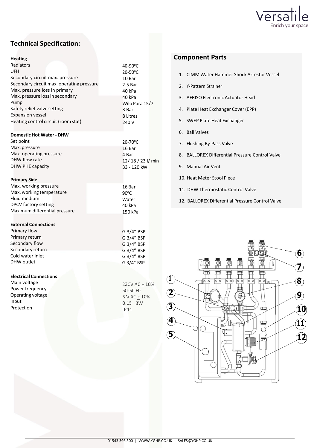

#### **Technical Specification:**

| <b>Heating</b>                            |                            |
|-------------------------------------------|----------------------------|
| Radiators                                 | 40-90 $\mathrm{^{\circ}C}$ |
| UFH                                       | $20-50$ °C                 |
| Secondary circuit max. pressure           | 10 Bar                     |
| Secondary circuit max. operating pressure | 2.5 <sub>Bar</sub>         |
| Max. pressure loss in primary             | 40 kPa                     |
| Max. pressure loss in secondary           | 40 kPa                     |
| Pump                                      | Wilo Para 15/7             |
| Safety relief valve setting               | 3 Bar                      |
| <b>Expansion vessel</b>                   | 8 Litres                   |
| Heating control circuit (room stat)       | 240 V                      |
| <b>Domestic Hot Water - DHW</b>           |                            |
| Set point                                 | $20-70$ °C                 |
| Max. pressure                             | 16 Bar                     |
| Max. operating pressure                   | 4 Bar                      |
| DHW flow rate                             | 12/18/23 l/ min            |
| <b>DHW PHE capacity</b>                   | 33 - 120 kW                |
| <b>Primary Side</b>                       |                            |
| Max. working pressure                     | 16 Bar                     |
| Max. working temperature                  | $90^{\circ}$ C             |
| Fluid medium                              | Water                      |
| DPCV factory setting                      | 40 kPa                     |
| Maximum differential pressure             | 150 kPa                    |
| <b>External Connections</b>               |                            |
| Primary flow                              | G 3/4" BSP                 |
| Primary return                            | G 3/4" BSP                 |
| Secondary flow                            | G 3/4" BSP                 |
| Secondary return                          | G 3/4" BSP                 |
| Cold water inlet                          | G 3/4" BSP                 |
| DHW outlet                                | G 3/4" BSP                 |
|                                           |                            |
| <b>Electrical Connections</b>             |                            |
| Main voltage                              | 230V AC + 10%              |
| Power frequency                           | 50-60 Hz                   |
| Operating voltage                         | $5 V AC + 10%$             |
| Input                                     | $0.15$ 3W                  |
| Protection                                | IP44                       |
|                                           |                            |
|                                           |                            |
|                                           |                            |
|                                           |                            |
|                                           |                            |
|                                           |                            |
|                                           |                            |

#### **Component Parts**

- 1. CIMM Water Hammer Shock Arrestor Vessel
- 2. Y-Pattern Strainer
- 3. AFRISO Electronic Actuator Head
- 4. Plate Heat Exchanger Cover (EPP)
- 5. SWEP Plate Heat Exchanger
- 6. Ball Valves
- 7. Flushing By-Pass Valve
- 8. BALLOREX Differential Pressure Control Valve
- 9. Manual Air Vent
- 10. Heat Meter Stool Piece
- 11. DHW Thermostatic Control Valve
- 12. BALLOREX Differential Pressure Control Valve

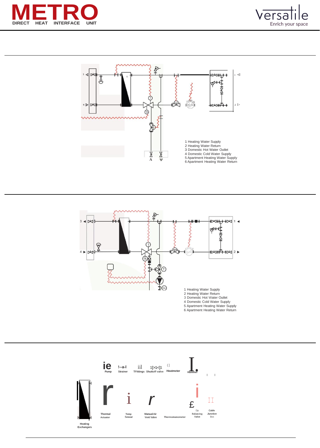







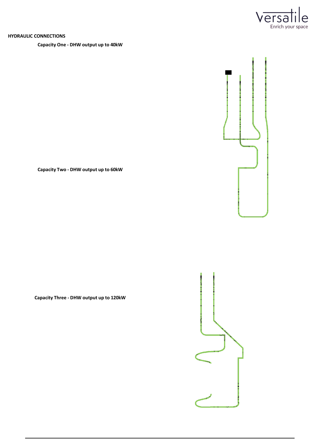

**PF PR**

#### **HYDRAULIC CONNECTIONS**

#### **Capacity One - DHW output up to 40kW**

**Capacity Two - DHW output up to 60kW**

**Capacity Three - DHW output up to 120kW**

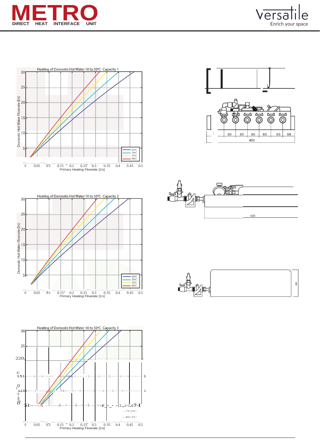